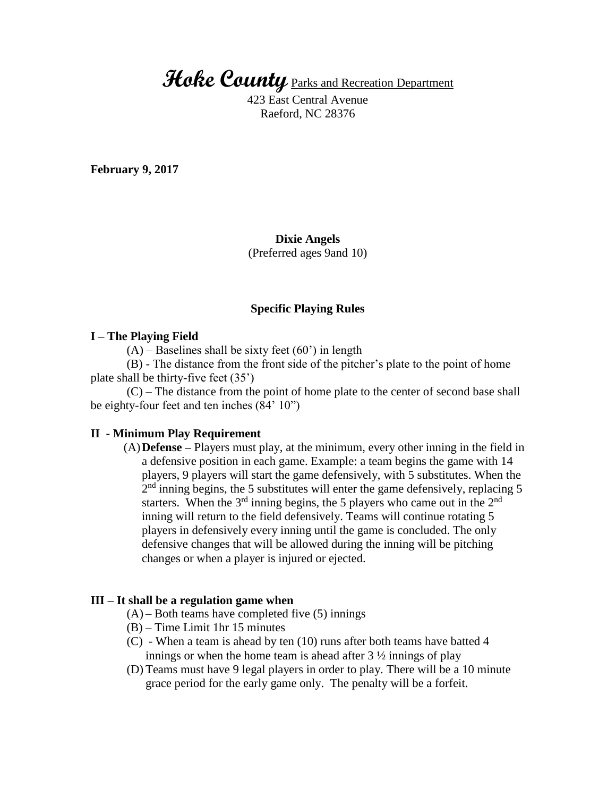**Hoke County** Parks and Recreation Department

423 East Central Avenue Raeford, NC 28376

**February 9, 2017**

# **Dixie Angels**

(Preferred ages 9and 10)

### **Specific Playing Rules**

#### **I – The Playing Field**

 $(A)$  – Baselines shall be sixty feet (60') in length

(B) - The distance from the front side of the pitcher's plate to the point of home plate shall be thirty-five feet (35')

(C) – The distance from the point of home plate to the center of second base shall be eighty-four feet and ten inches (84' 10")

### **II - Minimum Play Requirement**

(A)**Defense –** Players must play, at the minimum, every other inning in the field in a defensive position in each game. Example: a team begins the game with 14 players, 9 players will start the game defensively, with 5 substitutes. When the  $2<sup>nd</sup>$  inning begins, the 5 substitutes will enter the game defensively, replacing 5 starters. When the  $3<sup>rd</sup>$  inning begins, the 5 players who came out in the  $2<sup>nd</sup>$ inning will return to the field defensively. Teams will continue rotating 5 players in defensively every inning until the game is concluded. The only defensive changes that will be allowed during the inning will be pitching changes or when a player is injured or ejected.

### **III – It shall be a regulation game when**

- $(A)$  Both teams have completed five  $(5)$  innings
- (B) Time Limit 1hr 15 minutes
- (C) When a team is ahead by ten (10) runs after both teams have batted 4 innings or when the home team is ahead after  $3\frac{1}{2}$  innings of play
- (D) Teams must have 9 legal players in order to play. There will be a 10 minute grace period for the early game only. The penalty will be a forfeit.